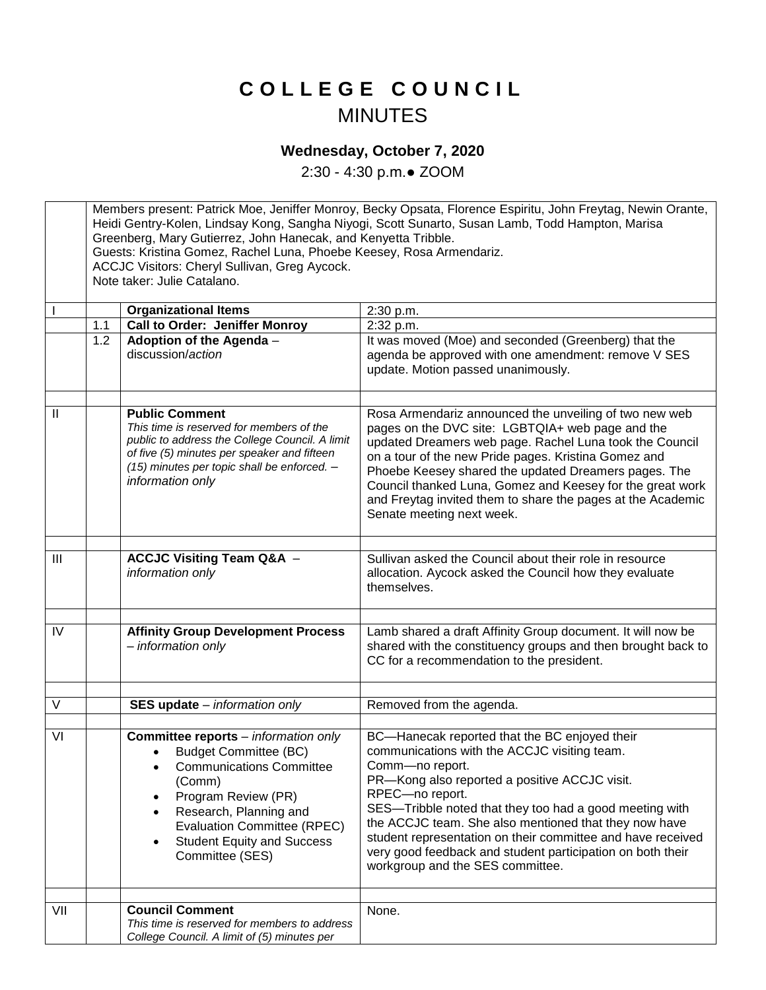## **C O L L E G E C O U N C I L** MINUTES

## **Wednesday, October 7, 2020**

2:30 - 4:30 p.m.● ZOOM

Members present: Patrick Moe, Jeniffer Monroy, Becky Opsata, Florence Espiritu, John Freytag, Newin Orante, Heidi Gentry-Kolen, Lindsay Kong, Sangha Niyogi, Scott Sunarto, Susan Lamb, Todd Hampton, Marisa Greenberg, Mary Gutierrez, John Hanecak, and Kenyetta Tribble. Guests: Kristina Gomez, Rachel Luna, Phoebe Keesey, Rosa Armendariz. ACCJC Visitors: Cheryl Sullivan, Greg Aycock. Note taker: Julie Catalano. **Organizational Items** 2:30 p.m. 1.1 **Call to Order: Jeniffer Monroy** 2:32 p.m. 1.2 **Adoption of the Agenda** – discussion/*action* It was moved (Moe) and seconded (Greenberg) that the agenda be approved with one amendment: remove V SES update. Motion passed unanimously. II **Public Comment** *This time is reserved for members of the public to address the College Council. A limit of five (5) minutes per speaker and fifteen (15) minutes per topic shall be enforced. – information only* Rosa Armendariz announced the unveiling of two new web pages on the DVC site: LGBTQIA+ web page and the updated Dreamers web page. Rachel Luna took the Council on a tour of the new Pride pages. Kristina Gomez and Phoebe Keesey shared the updated Dreamers pages. The Council thanked Luna, Gomez and Keesey for the great work and Freytag invited them to share the pages at the Academic Senate meeting next week. III **ACCJC Visiting Team Q&A** *– information only* Sullivan asked the Council about their role in resource allocation. Aycock asked the Council how they evaluate themselves. IV **Affinity Group Development Process** *– information only* Lamb shared a draft Affinity Group document. It will now be shared with the constituency groups and then brought back to CC for a recommendation to the president. V **SES update** – *information only* Removed from the agenda. VI **Committee reports** *– information only* Budget Committee (BC) Communications Committee (Comm) • Program Review (PR) Research, Planning and Evaluation Committee (RPEC) Student Equity and Success Committee (SES) BC—Hanecak reported that the BC enjoyed their communications with the ACCJC visiting team. Comm—no report. PR—Kong also reported a positive ACCJC visit. RPEC—no report. SES—Tribble noted that they too had a good meeting with the ACCJC team. She also mentioned that they now have student representation on their committee and have received very good feedback and student participation on both their workgroup and the SES committee. VII **Council Comment** *This time is reserved for members to address College Council. A limit of (5) minutes per*  None.